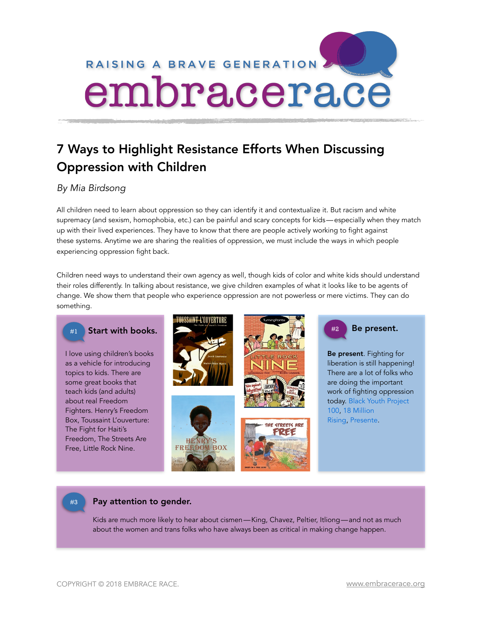

# 7 Ways to Highlight Resistance Efforts When Discussing Oppression with Children

# *By Mia Birdsong*

All children need to learn about oppression so they can identify it and contextualize it. But racism and white supremacy (and sexism, homophobia, etc.) can be painful and scary concepts for kids—especially when they match up with their lived experiences. They have to know that there are people actively working to fight against these systems. Anytime we are sharing the realities of oppression, we must include the ways in which people experiencing oppression fight back.

Children need ways to understand their own agency as well, though kids of color and white kids should understand their roles differently. In talking about resistance, we give children examples of what it looks like to be agents of change. We show them that people who experience oppression are not powerless or mere victims. They can do something.



## #3 Pay attention to gender.

Kids are much more likely to hear about cismen—King, Chavez, Peltier, Itliong—and not as much about the women and trans folks who have always been as critical in making change happen.